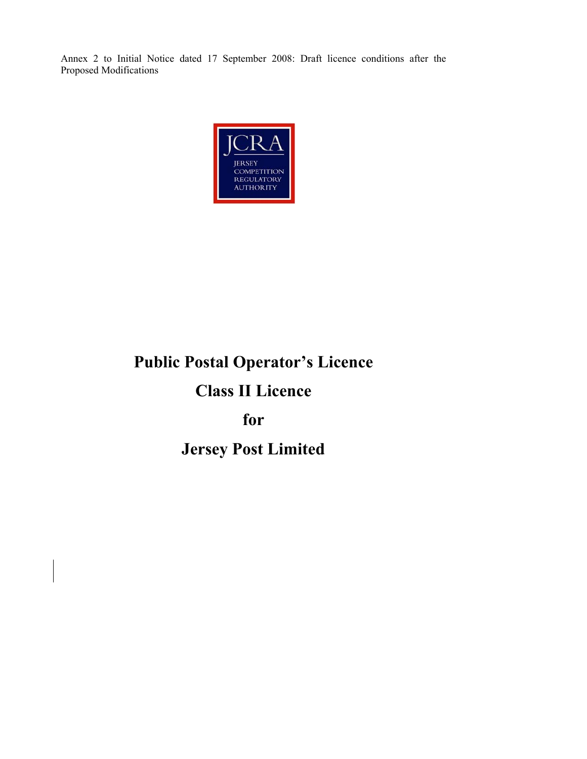

# **Public Postal Operator's Licence**

# **Class II Licence**

**for** 

# **Jersey Post Limited**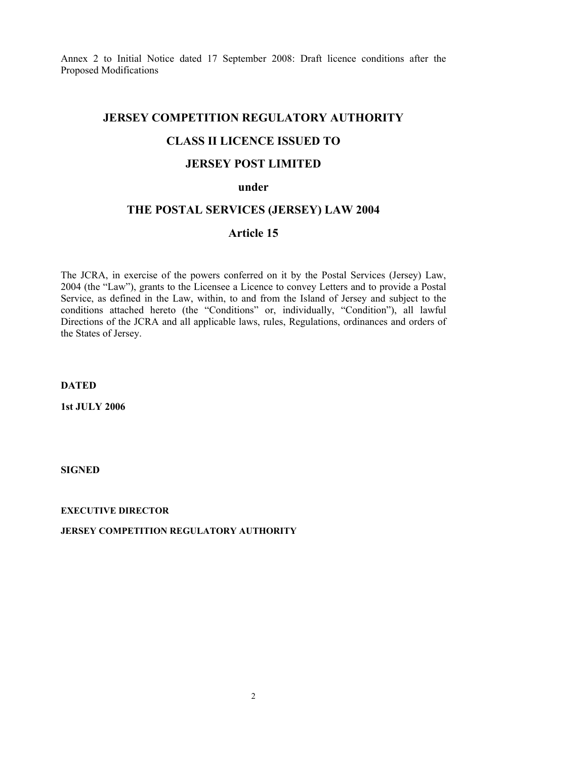# **JERSEY COMPETITION REGULATORY AUTHORITY**

# **CLASS II LICENCE ISSUED TO**

# **JERSEY POST LIMITED**

#### **under**

#### **THE POSTAL SERVICES (JERSEY) LAW 2004**

# **Article 15**

The JCRA, in exercise of the powers conferred on it by the Postal Services (Jersey) Law, 2004 (the "Law"), grants to the Licensee a Licence to convey Letters and to provide a Postal Service, as defined in the Law, within, to and from the Island of Jersey and subject to the conditions attached hereto (the "Conditions" or, individually, "Condition"), all lawful Directions of the JCRA and all applicable laws, rules, Regulations, ordinances and orders of the States of Jersey.

**DATED** 

**1st JULY 2006** 

**SIGNED** 

**EXECUTIVE DIRECTOR** 

**JERSEY COMPETITION REGULATORY AUTHORITY**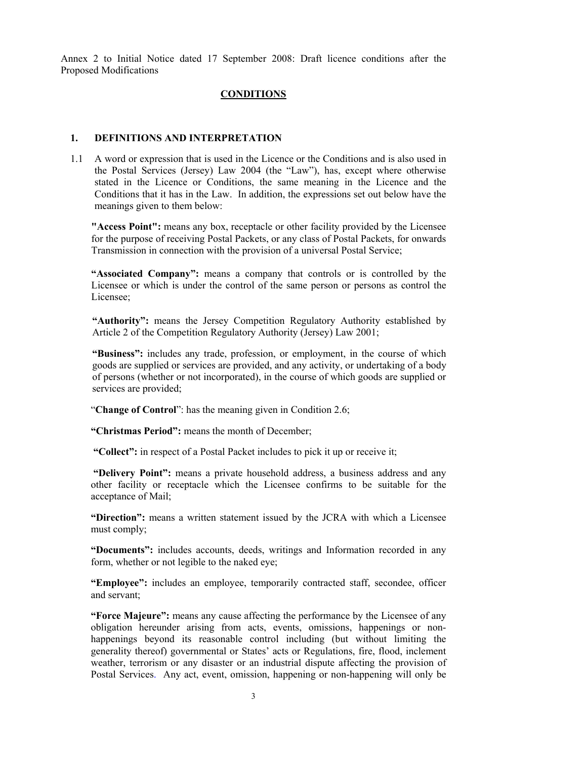#### **CONDITIONS**

#### **1. DEFINITIONS AND INTERPRETATION**

1.1 A word or expression that is used in the Licence or the Conditions and is also used in the Postal Services (Jersey) Law 2004 (the "Law"), has, except where otherwise stated in the Licence or Conditions, the same meaning in the Licence and the Conditions that it has in the Law. In addition, the expressions set out below have the meanings given to them below:

**"Access Point":** means any box, receptacle or other facility provided by the Licensee for the purpose of receiving Postal Packets, or any class of Postal Packets, for onwards Transmission in connection with the provision of a universal Postal Service;

**"Associated Company":** means a company that controls or is controlled by the Licensee or which is under the control of the same person or persons as control the Licensee;

**"Authority":** means the Jersey Competition Regulatory Authority established by Article 2 of the Competition Regulatory Authority (Jersey) Law 2001;

**"Business":** includes any trade, profession, or employment, in the course of which goods are supplied or services are provided, and any activity, or undertaking of a body of persons (whether or not incorporated), in the course of which goods are supplied or services are provided;

"**Change of Control**": has the meaning given in Condition 2.6;

**"Christmas Period":** means the month of December;

 **"Collect":** in respect of a Postal Packet includes to pick it up or receive it;

 **"Delivery Point":** means a private household address, a business address and any other facility or receptacle which the Licensee confirms to be suitable for the acceptance of Mail;

**"Direction":** means a written statement issued by the JCRA with which a Licensee must comply;

**"Documents":** includes accounts, deeds, writings and Information recorded in any form, whether or not legible to the naked eye;

**"Employee":** includes an employee, temporarily contracted staff, secondee, officer and servant;

**"Force Majeure":** means any cause affecting the performance by the Licensee of any obligation hereunder arising from acts, events, omissions, happenings or nonhappenings beyond its reasonable control including (but without limiting the generality thereof) governmental or States' acts or Regulations, fire, flood, inclement weather, terrorism or any disaster or an industrial dispute affecting the provision of Postal Services. Any act, event, omission, happening or non-happening will only be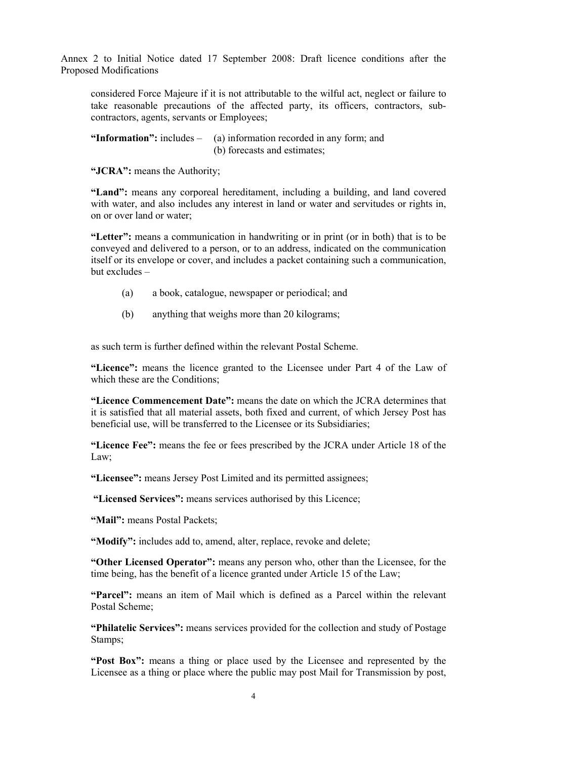considered Force Majeure if it is not attributable to the wilful act, neglect or failure to take reasonable precautions of the affected party, its officers, contractors, subcontractors, agents, servants or Employees;

**"Information":** includes – (a) information recorded in any form; and (b) forecasts and estimates;

**"JCRA":** means the Authority;

**"Land":** means any corporeal hereditament, including a building, and land covered with water, and also includes any interest in land or water and servitudes or rights in, on or over land or water;

**"Letter":** means a communication in handwriting or in print (or in both) that is to be conveyed and delivered to a person, or to an address, indicated on the communication itself or its envelope or cover, and includes a packet containing such a communication, but excludes –

- (a) a book, catalogue, newspaper or periodical; and
- (b) anything that weighs more than 20 kilograms;

as such term is further defined within the relevant Postal Scheme.

**"Licence":** means the licence granted to the Licensee under Part 4 of the Law of which these are the Conditions:

**"Licence Commencement Date":** means the date on which the JCRA determines that it is satisfied that all material assets, both fixed and current, of which Jersey Post has beneficial use, will be transferred to the Licensee or its Subsidiaries;

**"Licence Fee":** means the fee or fees prescribed by the JCRA under Article 18 of the Law;

**"Licensee":** means Jersey Post Limited and its permitted assignees;

 **"Licensed Services":** means services authorised by this Licence;

**"Mail":** means Postal Packets;

**"Modify":** includes add to, amend, alter, replace, revoke and delete;

**"Other Licensed Operator":** means any person who, other than the Licensee, for the time being, has the benefit of a licence granted under Article 15 of the Law;

**"Parcel":** means an item of Mail which is defined as a Parcel within the relevant Postal Scheme;

**"Philatelic Services":** means services provided for the collection and study of Postage Stamps;

**"Post Box":** means a thing or place used by the Licensee and represented by the Licensee as a thing or place where the public may post Mail for Transmission by post,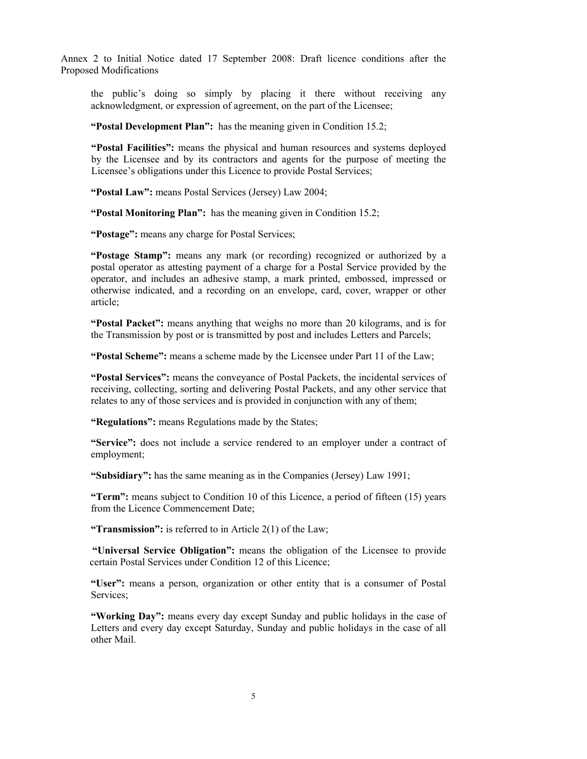the public's doing so simply by placing it there without receiving any acknowledgment, or expression of agreement, on the part of the Licensee;

**"Postal Development Plan":** has the meaning given in Condition 15.2;

**"Postal Facilities":** means the physical and human resources and systems deployed by the Licensee and by its contractors and agents for the purpose of meeting the Licensee's obligations under this Licence to provide Postal Services;

**"Postal Law":** means Postal Services (Jersey) Law 2004;

**"Postal Monitoring Plan":** has the meaning given in Condition 15.2;

**"Postage":** means any charge for Postal Services;

**"Postage Stamp":** means any mark (or recording) recognized or authorized by a postal operator as attesting payment of a charge for a Postal Service provided by the operator, and includes an adhesive stamp, a mark printed, embossed, impressed or otherwise indicated, and a recording on an envelope, card, cover, wrapper or other article;

**"Postal Packet":** means anything that weighs no more than 20 kilograms, and is for the Transmission by post or is transmitted by post and includes Letters and Parcels;

**"Postal Scheme":** means a scheme made by the Licensee under Part 11 of the Law;

**"Postal Services":** means the conveyance of Postal Packets, the incidental services of receiving, collecting, sorting and delivering Postal Packets, and any other service that relates to any of those services and is provided in conjunction with any of them;

**"Regulations":** means Regulations made by the States;

**"Service":** does not include a service rendered to an employer under a contract of employment;

**"Subsidiary":** has the same meaning as in the Companies (Jersey) Law 1991;

**"Term":** means subject to Condition 10 of this Licence, a period of fifteen (15) years from the Licence Commencement Date;

**"Transmission":** is referred to in Article 2(1) of the Law;

 **"Universal Service Obligation":** means the obligation of the Licensee to provide certain Postal Services under Condition 12 of this Licence;

**"User":** means a person, organization or other entity that is a consumer of Postal Services;

**"Working Day":** means every day except Sunday and public holidays in the case of Letters and every day except Saturday, Sunday and public holidays in the case of all other Mail.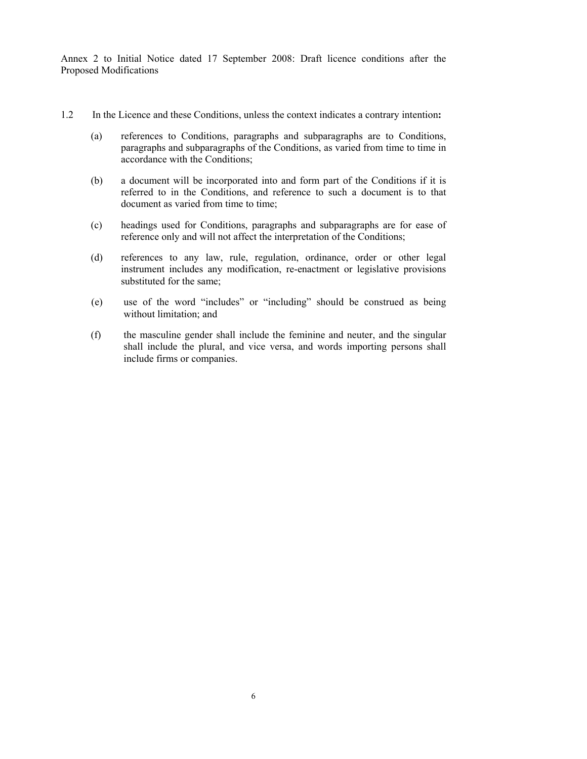- 1.2 In the Licence and these Conditions, unless the context indicates a contrary intention**:**
	- (a) references to Conditions, paragraphs and subparagraphs are to Conditions, paragraphs and subparagraphs of the Conditions, as varied from time to time in accordance with the Conditions;
	- (b) a document will be incorporated into and form part of the Conditions if it is referred to in the Conditions, and reference to such a document is to that document as varied from time to time;
	- (c) headings used for Conditions, paragraphs and subparagraphs are for ease of reference only and will not affect the interpretation of the Conditions;
	- (d) references to any law, rule, regulation, ordinance, order or other legal instrument includes any modification, re-enactment or legislative provisions substituted for the same;
	- (e) use of the word "includes" or "including" should be construed as being without limitation; and
	- (f) the masculine gender shall include the feminine and neuter, and the singular shall include the plural, and vice versa, and words importing persons shall include firms or companies.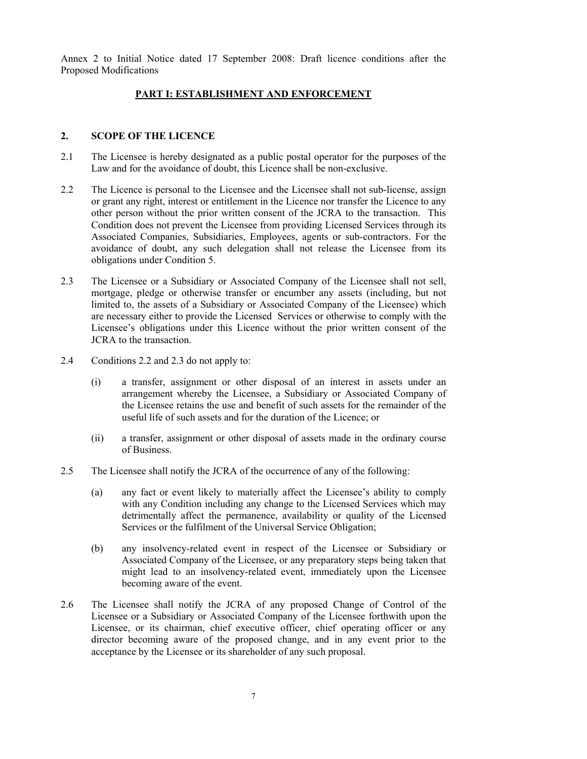#### **PART I: ESTABLISHMENT AND ENFORCEMENT**

#### **2. SCOPE OF THE LICENCE**

- 2.1 The Licensee is hereby designated as a public postal operator for the purposes of the Law and for the avoidance of doubt, this Licence shall be non-exclusive.
- 2.2 The Licence is personal to the Licensee and the Licensee shall not sub-license, assign or grant any right, interest or entitlement in the Licence nor transfer the Licence to any other person without the prior written consent of the JCRA to the transaction. This Condition does not prevent the Licensee from providing Licensed Services through its Associated Companies, Subsidiaries, Employees, agents or sub-contractors. For the avoidance of doubt, any such delegation shall not release the Licensee from its obligations under Condition 5.
- 2.3 The Licensee or a Subsidiary or Associated Company of the Licensee shall not sell, mortgage, pledge or otherwise transfer or encumber any assets (including, but not limited to, the assets of a Subsidiary or Associated Company of the Licensee) which are necessary either to provide the Licensed Services or otherwise to comply with the Licensee's obligations under this Licence without the prior written consent of the JCRA to the transaction.
- 2.4 Conditions 2.2 and 2.3 do not apply to:
	- (i) a transfer, assignment or other disposal of an interest in assets under an arrangement whereby the Licensee, a Subsidiary or Associated Company of the Licensee retains the use and benefit of such assets for the remainder of the useful life of such assets and for the duration of the Licence; or
	- (ii) a transfer, assignment or other disposal of assets made in the ordinary course of Business.
- 2.5 The Licensee shall notify the JCRA of the occurrence of any of the following:
	- (a) any fact or event likely to materially affect the Licensee's ability to comply with any Condition including any change to the Licensed Services which may detrimentally affect the permanence, availability or quality of the Licensed Services or the fulfilment of the Universal Service Obligation;
	- (b) any insolvency-related event in respect of the Licensee or Subsidiary or Associated Company of the Licensee, or any preparatory steps being taken that might lead to an insolvency-related event, immediately upon the Licensee becoming aware of the event.
- 2.6 The Licensee shall notify the JCRA of any proposed Change of Control of the Licensee or a Subsidiary or Associated Company of the Licensee forthwith upon the Licensee, or its chairman, chief executive officer, chief operating officer or any director becoming aware of the proposed change, and in any event prior to the acceptance by the Licensee or its shareholder of any such proposal.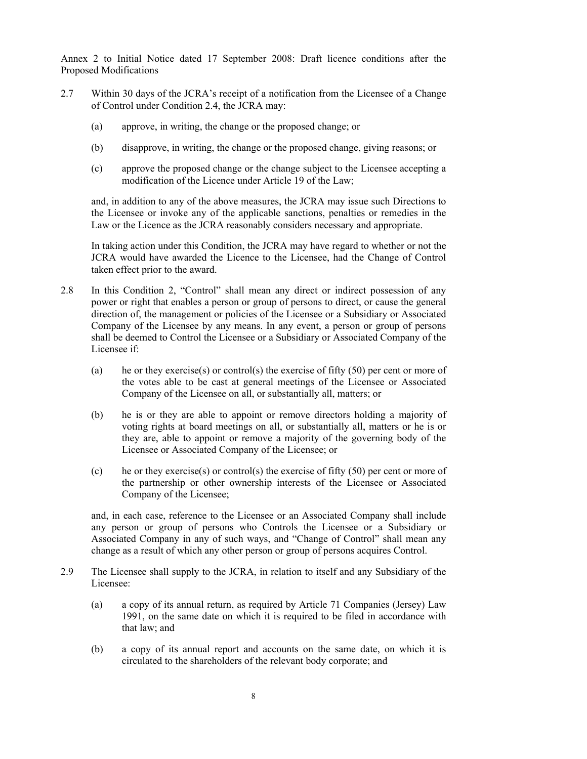- 2.7 Within 30 days of the JCRA's receipt of a notification from the Licensee of a Change of Control under Condition 2.4, the JCRA may:
	- (a) approve, in writing, the change or the proposed change; or
	- (b) disapprove, in writing, the change or the proposed change, giving reasons; or
	- (c) approve the proposed change or the change subject to the Licensee accepting a modification of the Licence under Article 19 of the Law;

and, in addition to any of the above measures, the JCRA may issue such Directions to the Licensee or invoke any of the applicable sanctions, penalties or remedies in the Law or the Licence as the JCRA reasonably considers necessary and appropriate.

In taking action under this Condition, the JCRA may have regard to whether or not the JCRA would have awarded the Licence to the Licensee, had the Change of Control taken effect prior to the award.

- 2.8 In this Condition 2, "Control" shall mean any direct or indirect possession of any power or right that enables a person or group of persons to direct, or cause the general direction of, the management or policies of the Licensee or a Subsidiary or Associated Company of the Licensee by any means. In any event, a person or group of persons shall be deemed to Control the Licensee or a Subsidiary or Associated Company of the Licensee if:
	- (a) he or they exercise(s) or control(s) the exercise of fifty (50) per cent or more of the votes able to be cast at general meetings of the Licensee or Associated Company of the Licensee on all, or substantially all, matters; or
	- (b) he is or they are able to appoint or remove directors holding a majority of voting rights at board meetings on all, or substantially all, matters or he is or they are, able to appoint or remove a majority of the governing body of the Licensee or Associated Company of the Licensee; or
	- (c) he or they exercise(s) or control(s) the exercise of fifty  $(50)$  per cent or more of the partnership or other ownership interests of the Licensee or Associated Company of the Licensee;

and, in each case, reference to the Licensee or an Associated Company shall include any person or group of persons who Controls the Licensee or a Subsidiary or Associated Company in any of such ways, and "Change of Control" shall mean any change as a result of which any other person or group of persons acquires Control.

- 2.9 The Licensee shall supply to the JCRA, in relation to itself and any Subsidiary of the Licensee:
	- (a) a copy of its annual return, as required by Article 71 Companies (Jersey) Law 1991, on the same date on which it is required to be filed in accordance with that law; and
	- (b) a copy of its annual report and accounts on the same date, on which it is circulated to the shareholders of the relevant body corporate; and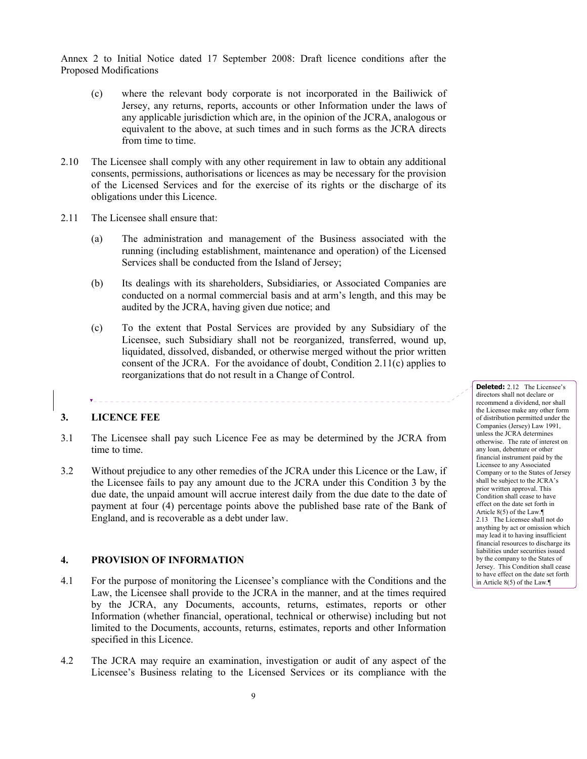- (c) where the relevant body corporate is not incorporated in the Bailiwick of Jersey, any returns, reports, accounts or other Information under the laws of any applicable jurisdiction which are, in the opinion of the JCRA, analogous or equivalent to the above, at such times and in such forms as the JCRA directs from time to time.
- 2.10 The Licensee shall comply with any other requirement in law to obtain any additional consents, permissions, authorisations or licences as may be necessary for the provision of the Licensed Services and for the exercise of its rights or the discharge of its obligations under this Licence.
- 2.11 The Licensee shall ensure that:
	- (a) The administration and management of the Business associated with the running (including establishment, maintenance and operation) of the Licensed Services shall be conducted from the Island of Jersey;
	- (b) Its dealings with its shareholders, Subsidiaries, or Associated Companies are conducted on a normal commercial basis and at arm's length, and this may be audited by the JCRA, having given due notice; and
	- (c) To the extent that Postal Services are provided by any Subsidiary of the Licensee, such Subsidiary shall not be reorganized, transferred, wound up, liquidated, dissolved, disbanded, or otherwise merged without the prior written consent of the JCRA. For the avoidance of doubt, Condition 2.11(c) applies to reorganizations that do not result in a Change of Control.

## **3. LICENCE FEE**

**.** . . . . . . . . . .

3.1 The Licensee shall pay such Licence Fee as may be determined by the JCRA from time to time.

\_\_\_\_\_\_\_\_\_\_\_\_\_\_\_\_\_\_\_\_\_\_\_\_\_\_\_\_\_\_\_\_\_\_

3.2 Without prejudice to any other remedies of the JCRA under this Licence or the Law, if the Licensee fails to pay any amount due to the JCRA under this Condition 3 by the due date, the unpaid amount will accrue interest daily from the due date to the date of payment at four (4) percentage points above the published base rate of the Bank of England, and is recoverable as a debt under law.

## **4. PROVISION OF INFORMATION**

- 4.1 For the purpose of monitoring the Licensee's compliance with the Conditions and the Law, the Licensee shall provide to the JCRA in the manner, and at the times required by the JCRA, any Documents, accounts, returns, estimates, reports or other Information (whether financial, operational, technical or otherwise) including but not limited to the Documents, accounts, returns, estimates, reports and other Information specified in this Licence.
- 4.2 The JCRA may require an examination, investigation or audit of any aspect of the Licensee's Business relating to the Licensed Services or its compliance with the

**Deleted:** 2.12 The Licensee's directors shall not declare or recommend a dividend, nor shall the Licensee make any other form of distribution permitted under the Companies (Jersey) Law 1991, unless the JCRA determines otherwise. The rate of interest on any loan, debenture or other financial instrument paid by the Licensee to any Associated Company or to the States of Jersey shall be subject to the JCRA's prior written approval. This Condition shall cease to have effect on the date set forth in Article 8(5) of the Law.¶ 2.13 The Licensee shall not do anything by act or omission which may lead it to having insufficient financial resources to discharge its liabilities under securities issued by the company to the States of Jersey. This Condition shall cease to have effect on the date set forth in Article 8(5) of the Law.¶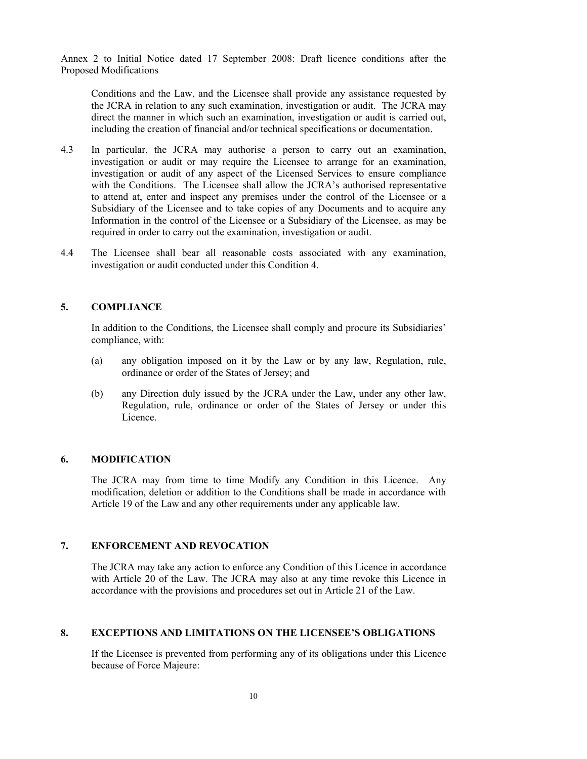Conditions and the Law, and the Licensee shall provide any assistance requested by the JCRA in relation to any such examination, investigation or audit. The JCRA may direct the manner in which such an examination, investigation or audit is carried out, including the creation of financial and/or technical specifications or documentation.

- 4.3 In particular, the JCRA may authorise a person to carry out an examination, investigation or audit or may require the Licensee to arrange for an examination, investigation or audit of any aspect of the Licensed Services to ensure compliance with the Conditions. The Licensee shall allow the JCRA's authorised representative to attend at, enter and inspect any premises under the control of the Licensee or a Subsidiary of the Licensee and to take copies of any Documents and to acquire any Information in the control of the Licensee or a Subsidiary of the Licensee, as may be required in order to carry out the examination, investigation or audit.
- 4.4 The Licensee shall bear all reasonable costs associated with any examination, investigation or audit conducted under this Condition 4.

## **5. COMPLIANCE**

 In addition to the Conditions, the Licensee shall comply and procure its Subsidiaries' compliance, with:

- (a) any obligation imposed on it by the Law or by any law, Regulation, rule, ordinance or order of the States of Jersey; and
- (b) any Direction duly issued by the JCRA under the Law, under any other law, Regulation, rule, ordinance or order of the States of Jersey or under this Licence.

## **6. MODIFICATION**

 The JCRA may from time to time Modify any Condition in this Licence. Any modification, deletion or addition to the Conditions shall be made in accordance with Article 19 of the Law and any other requirements under any applicable law.

# **7. ENFORCEMENT AND REVOCATION**

 The JCRA may take any action to enforce any Condition of this Licence in accordance with Article 20 of the Law. The JCRA may also at any time revoke this Licence in accordance with the provisions and procedures set out in Article 21 of the Law.

# **8. EXCEPTIONS AND LIMITATIONS ON THE LICENSEE'S OBLIGATIONS**

 If the Licensee is prevented from performing any of its obligations under this Licence because of Force Majeure: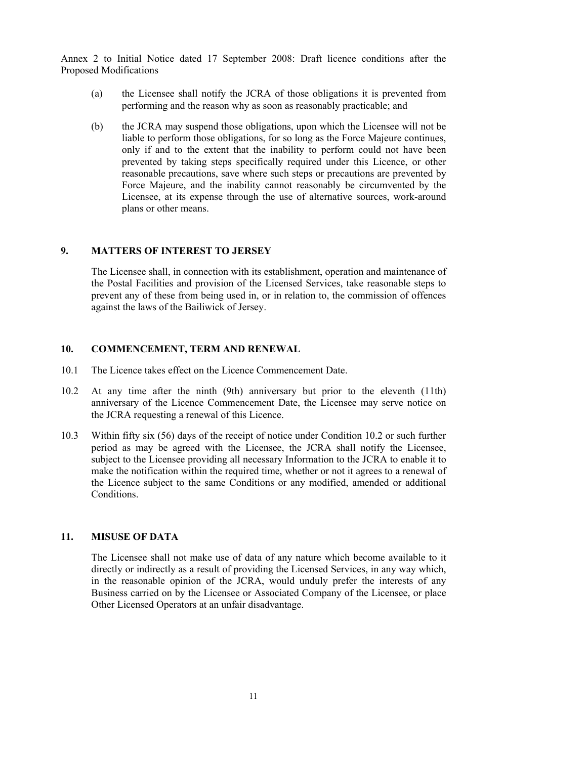- (a) the Licensee shall notify the JCRA of those obligations it is prevented from performing and the reason why as soon as reasonably practicable; and
- (b) the JCRA may suspend those obligations, upon which the Licensee will not be liable to perform those obligations, for so long as the Force Majeure continues, only if and to the extent that the inability to perform could not have been prevented by taking steps specifically required under this Licence, or other reasonable precautions, save where such steps or precautions are prevented by Force Majeure, and the inability cannot reasonably be circumvented by the Licensee, at its expense through the use of alternative sources, work-around plans or other means.

#### **9. MATTERS OF INTEREST TO JERSEY**

 The Licensee shall, in connection with its establishment, operation and maintenance of the Postal Facilities and provision of the Licensed Services, take reasonable steps to prevent any of these from being used in, or in relation to, the commission of offences against the laws of the Bailiwick of Jersey.

## **10. COMMENCEMENT, TERM AND RENEWAL**

- 10.1 The Licence takes effect on the Licence Commencement Date.
- 10.2 At any time after the ninth (9th) anniversary but prior to the eleventh (11th) anniversary of the Licence Commencement Date, the Licensee may serve notice on the JCRA requesting a renewal of this Licence.
- 10.3 Within fifty six (56) days of the receipt of notice under Condition 10.2 or such further period as may be agreed with the Licensee, the JCRA shall notify the Licensee, subject to the Licensee providing all necessary Information to the JCRA to enable it to make the notification within the required time, whether or not it agrees to a renewal of the Licence subject to the same Conditions or any modified, amended or additional Conditions.

## **11. MISUSE OF DATA**

 The Licensee shall not make use of data of any nature which become available to it directly or indirectly as a result of providing the Licensed Services, in any way which, in the reasonable opinion of the JCRA, would unduly prefer the interests of any Business carried on by the Licensee or Associated Company of the Licensee, or place Other Licensed Operators at an unfair disadvantage.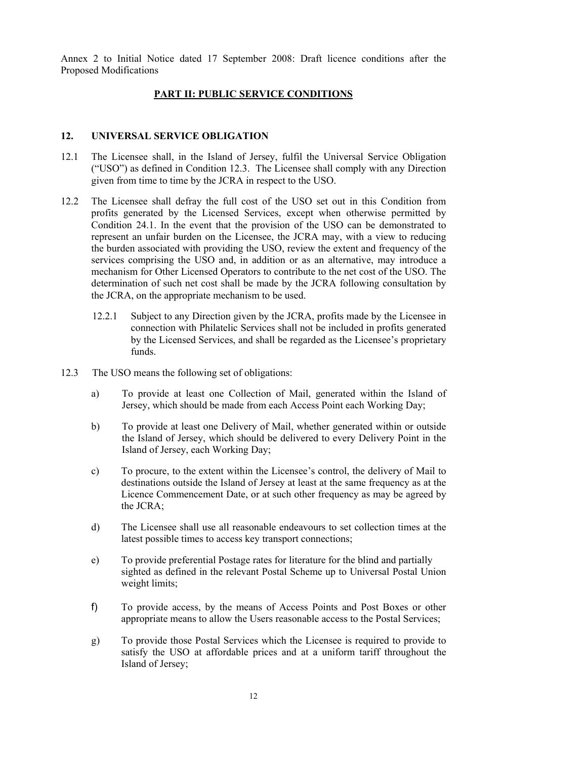#### **PART II: PUBLIC SERVICE CONDITIONS**

## **12. UNIVERSAL SERVICE OBLIGATION**

- 12.1 The Licensee shall, in the Island of Jersey, fulfil the Universal Service Obligation ("USO") as defined in Condition 12.3. The Licensee shall comply with any Direction given from time to time by the JCRA in respect to the USO.
- 12.2 The Licensee shall defray the full cost of the USO set out in this Condition from profits generated by the Licensed Services, except when otherwise permitted by Condition 24.1. In the event that the provision of the USO can be demonstrated to represent an unfair burden on the Licensee, the JCRA may, with a view to reducing the burden associated with providing the USO, review the extent and frequency of the services comprising the USO and, in addition or as an alternative, may introduce a mechanism for Other Licensed Operators to contribute to the net cost of the USO. The determination of such net cost shall be made by the JCRA following consultation by the JCRA, on the appropriate mechanism to be used.
	- 12.2.1 Subject to any Direction given by the JCRA, profits made by the Licensee in connection with Philatelic Services shall not be included in profits generated by the Licensed Services, and shall be regarded as the Licensee's proprietary funds.
- 12.3 The USO means the following set of obligations:
	- a) To provide at least one Collection of Mail, generated within the Island of Jersey, which should be made from each Access Point each Working Day;
	- b) To provide at least one Delivery of Mail, whether generated within or outside the Island of Jersey, which should be delivered to every Delivery Point in the Island of Jersey, each Working Day;
	- c) To procure, to the extent within the Licensee's control, the delivery of Mail to destinations outside the Island of Jersey at least at the same frequency as at the Licence Commencement Date, or at such other frequency as may be agreed by the JCRA;
	- d) The Licensee shall use all reasonable endeavours to set collection times at the latest possible times to access key transport connections;
	- e) To provide preferential Postage rates for literature for the blind and partially sighted as defined in the relevant Postal Scheme up to Universal Postal Union weight limits;
	- f) To provide access, by the means of Access Points and Post Boxes or other appropriate means to allow the Users reasonable access to the Postal Services;
	- g) To provide those Postal Services which the Licensee is required to provide to satisfy the USO at affordable prices and at a uniform tariff throughout the Island of Jersey;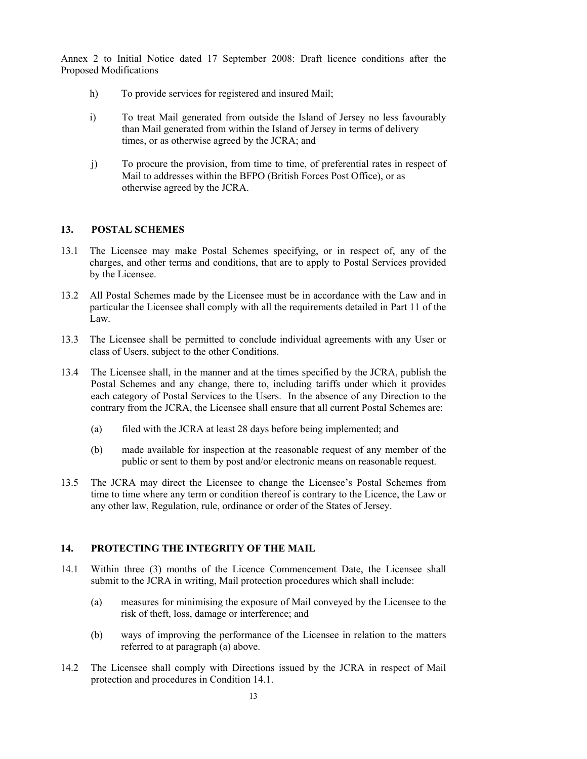- h) To provide services for registered and insured Mail;
- i) To treat Mail generated from outside the Island of Jersey no less favourably than Mail generated from within the Island of Jersey in terms of delivery times, or as otherwise agreed by the JCRA; and
- j) To procure the provision, from time to time, of preferential rates in respect of Mail to addresses within the BFPO (British Forces Post Office), or as otherwise agreed by the JCRA.

# **13. POSTAL SCHEMES**

- 13.1 The Licensee may make Postal Schemes specifying, or in respect of, any of the charges, and other terms and conditions, that are to apply to Postal Services provided by the Licensee.
- 13.2 All Postal Schemes made by the Licensee must be in accordance with the Law and in particular the Licensee shall comply with all the requirements detailed in Part 11 of the Law.
- 13.3 The Licensee shall be permitted to conclude individual agreements with any User or class of Users, subject to the other Conditions.
- 13.4 The Licensee shall, in the manner and at the times specified by the JCRA, publish the Postal Schemes and any change, there to, including tariffs under which it provides each category of Postal Services to the Users. In the absence of any Direction to the contrary from the JCRA, the Licensee shall ensure that all current Postal Schemes are:
	- (a) filed with the JCRA at least 28 days before being implemented; and
	- (b) made available for inspection at the reasonable request of any member of the public or sent to them by post and/or electronic means on reasonable request.
- 13.5 The JCRA may direct the Licensee to change the Licensee's Postal Schemes from time to time where any term or condition thereof is contrary to the Licence, the Law or any other law, Regulation, rule, ordinance or order of the States of Jersey.

# **14. PROTECTING THE INTEGRITY OF THE MAIL**

- 14.1 Within three (3) months of the Licence Commencement Date, the Licensee shall submit to the JCRA in writing, Mail protection procedures which shall include:
	- (a) measures for minimising the exposure of Mail conveyed by the Licensee to the risk of theft, loss, damage or interference; and
	- (b) ways of improving the performance of the Licensee in relation to the matters referred to at paragraph (a) above.
- 14.2 The Licensee shall comply with Directions issued by the JCRA in respect of Mail protection and procedures in Condition 14.1.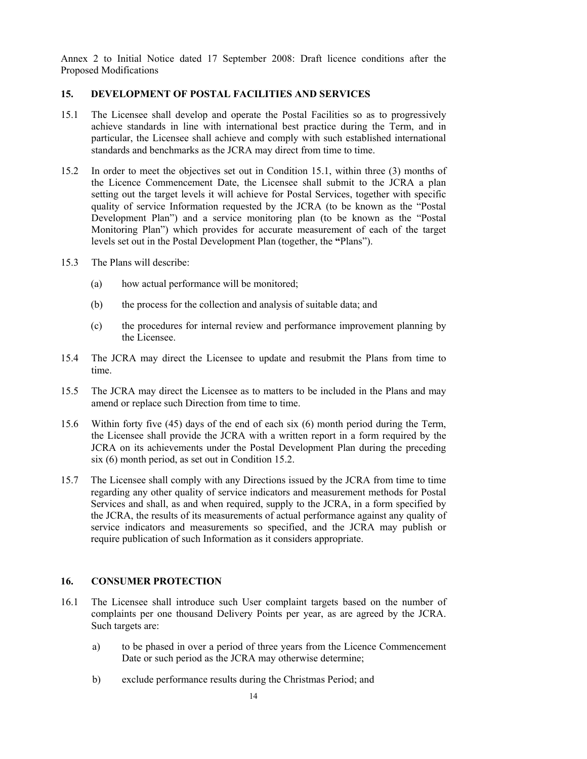#### **15. DEVELOPMENT OF POSTAL FACILITIES AND SERVICES**

- 15.1 The Licensee shall develop and operate the Postal Facilities so as to progressively achieve standards in line with international best practice during the Term, and in particular, the Licensee shall achieve and comply with such established international standards and benchmarks as the JCRA may direct from time to time.
- 15.2 In order to meet the objectives set out in Condition 15.1, within three (3) months of the Licence Commencement Date, the Licensee shall submit to the JCRA a plan setting out the target levels it will achieve for Postal Services, together with specific quality of service Information requested by the JCRA (to be known as the "Postal Development Plan") and a service monitoring plan (to be known as the "Postal Monitoring Plan") which provides for accurate measurement of each of the target levels set out in the Postal Development Plan (together, the **"**Plans").
- 15.3 The Plans will describe:
	- (a) how actual performance will be monitored;
	- (b) the process for the collection and analysis of suitable data; and
	- (c) the procedures for internal review and performance improvement planning by the Licensee.
- 15.4 The JCRA may direct the Licensee to update and resubmit the Plans from time to time.
- 15.5 The JCRA may direct the Licensee as to matters to be included in the Plans and may amend or replace such Direction from time to time.
- 15.6 Within forty five (45) days of the end of each six (6) month period during the Term, the Licensee shall provide the JCRA with a written report in a form required by the JCRA on its achievements under the Postal Development Plan during the preceding six (6) month period, as set out in Condition 15.2.
- 15.7 The Licensee shall comply with any Directions issued by the JCRA from time to time regarding any other quality of service indicators and measurement methods for Postal Services and shall, as and when required, supply to the JCRA, in a form specified by the JCRA, the results of its measurements of actual performance against any quality of service indicators and measurements so specified, and the JCRA may publish or require publication of such Information as it considers appropriate.

# **16. CONSUMER PROTECTION**

- 16.1 The Licensee shall introduce such User complaint targets based on the number of complaints per one thousand Delivery Points per year, as are agreed by the JCRA. Such targets are:
	- a) to be phased in over a period of three years from the Licence Commencement Date or such period as the JCRA may otherwise determine;
	- b) exclude performance results during the Christmas Period; and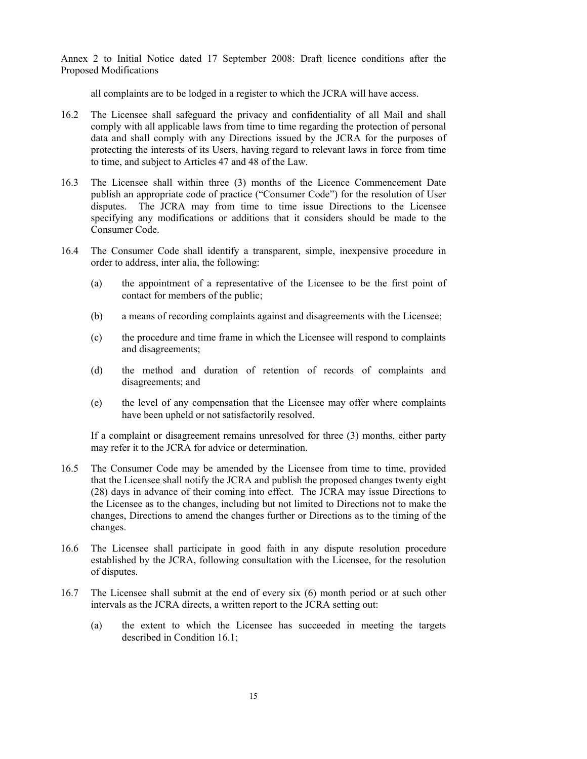all complaints are to be lodged in a register to which the JCRA will have access.

- 16.2 The Licensee shall safeguard the privacy and confidentiality of all Mail and shall comply with all applicable laws from time to time regarding the protection of personal data and shall comply with any Directions issued by the JCRA for the purposes of protecting the interests of its Users, having regard to relevant laws in force from time to time, and subject to Articles 47 and 48 of the Law.
- 16.3 The Licensee shall within three (3) months of the Licence Commencement Date publish an appropriate code of practice ("Consumer Code") for the resolution of User disputes. The JCRA may from time to time issue Directions to the Licensee specifying any modifications or additions that it considers should be made to the Consumer Code.
- 16.4 The Consumer Code shall identify a transparent, simple, inexpensive procedure in order to address, inter alia, the following:
	- (a) the appointment of a representative of the Licensee to be the first point of contact for members of the public;
	- (b) a means of recording complaints against and disagreements with the Licensee;
	- (c) the procedure and time frame in which the Licensee will respond to complaints and disagreements;
	- (d) the method and duration of retention of records of complaints and disagreements; and
	- (e) the level of any compensation that the Licensee may offer where complaints have been upheld or not satisfactorily resolved.

If a complaint or disagreement remains unresolved for three (3) months, either party may refer it to the JCRA for advice or determination.

- 16.5 The Consumer Code may be amended by the Licensee from time to time, provided that the Licensee shall notify the JCRA and publish the proposed changes twenty eight (28) days in advance of their coming into effect. The JCRA may issue Directions to the Licensee as to the changes, including but not limited to Directions not to make the changes, Directions to amend the changes further or Directions as to the timing of the changes.
- 16.6 The Licensee shall participate in good faith in any dispute resolution procedure established by the JCRA, following consultation with the Licensee, for the resolution of disputes.
- 16.7 The Licensee shall submit at the end of every six (6) month period or at such other intervals as the JCRA directs, a written report to the JCRA setting out:
	- (a) the extent to which the Licensee has succeeded in meeting the targets described in Condition 16.1;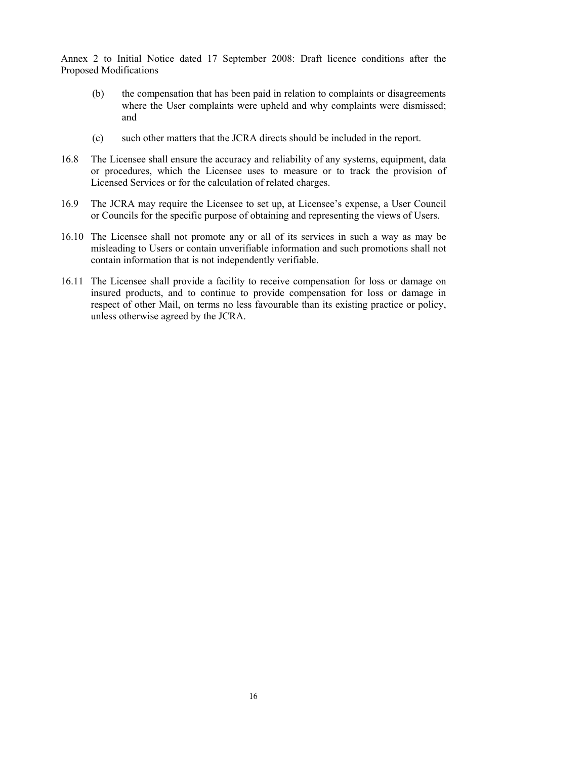- (b) the compensation that has been paid in relation to complaints or disagreements where the User complaints were upheld and why complaints were dismissed; and
- (c) such other matters that the JCRA directs should be included in the report.
- 16.8 The Licensee shall ensure the accuracy and reliability of any systems, equipment, data or procedures, which the Licensee uses to measure or to track the provision of Licensed Services or for the calculation of related charges.
- 16.9 The JCRA may require the Licensee to set up, at Licensee's expense, a User Council or Councils for the specific purpose of obtaining and representing the views of Users.
- 16.10 The Licensee shall not promote any or all of its services in such a way as may be misleading to Users or contain unverifiable information and such promotions shall not contain information that is not independently verifiable.
- 16.11 The Licensee shall provide a facility to receive compensation for loss or damage on insured products, and to continue to provide compensation for loss or damage in respect of other Mail, on terms no less favourable than its existing practice or policy, unless otherwise agreed by the JCRA.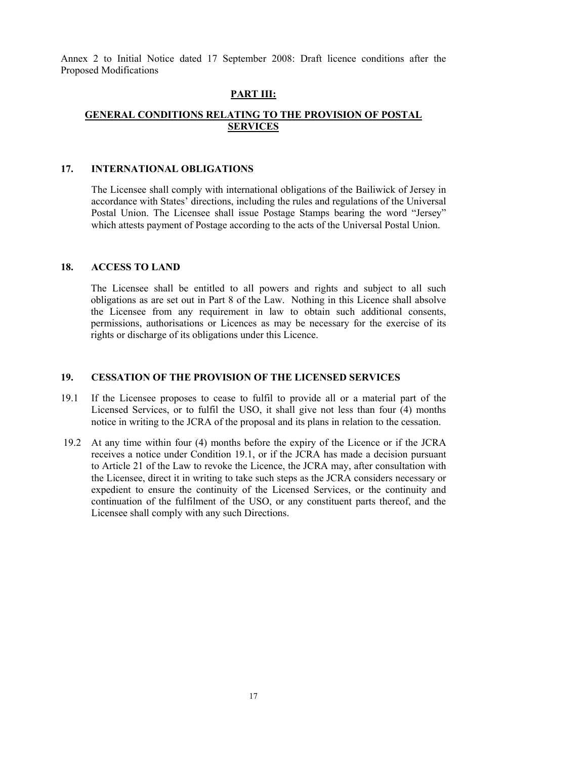#### **PART III:**

## **GENERAL CONDITIONS RELATING TO THE PROVISION OF POSTAL SERVICES**

## **17. INTERNATIONAL OBLIGATIONS**

 The Licensee shall comply with international obligations of the Bailiwick of Jersey in accordance with States' directions, including the rules and regulations of the Universal Postal Union. The Licensee shall issue Postage Stamps bearing the word "Jersey" which attests payment of Postage according to the acts of the Universal Postal Union.

#### **18. ACCESS TO LAND**

 The Licensee shall be entitled to all powers and rights and subject to all such obligations as are set out in Part 8 of the Law. Nothing in this Licence shall absolve the Licensee from any requirement in law to obtain such additional consents, permissions, authorisations or Licences as may be necessary for the exercise of its rights or discharge of its obligations under this Licence.

#### **19. CESSATION OF THE PROVISION OF THE LICENSED SERVICES**

- 19.1 If the Licensee proposes to cease to fulfil to provide all or a material part of the Licensed Services, or to fulfil the USO, it shall give not less than four (4) months notice in writing to the JCRA of the proposal and its plans in relation to the cessation.
- 19.2 At any time within four (4) months before the expiry of the Licence or if the JCRA receives a notice under Condition 19.1, or if the JCRA has made a decision pursuant to Article 21 of the Law to revoke the Licence, the JCRA may, after consultation with the Licensee, direct it in writing to take such steps as the JCRA considers necessary or expedient to ensure the continuity of the Licensed Services, or the continuity and continuation of the fulfilment of the USO, or any constituent parts thereof, and the Licensee shall comply with any such Directions.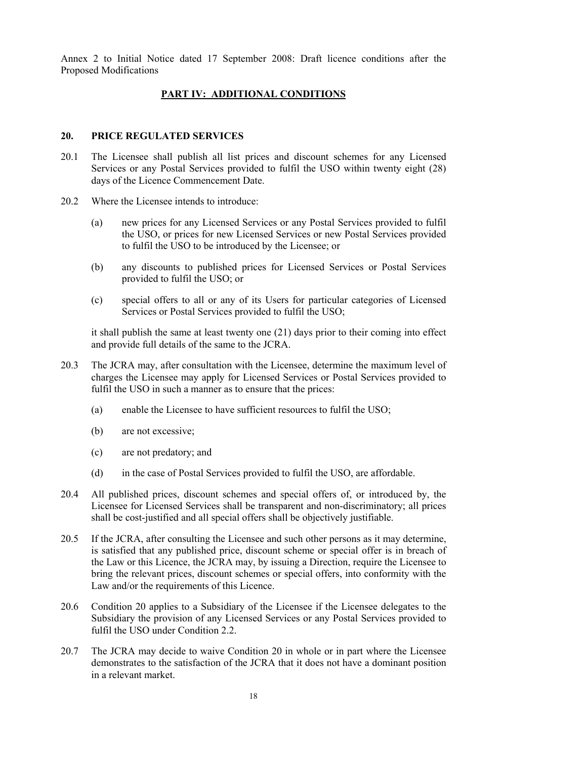#### **PART IV: ADDITIONAL CONDITIONS**

## **20. PRICE REGULATED SERVICES**

- 20.1 The Licensee shall publish all list prices and discount schemes for any Licensed Services or any Postal Services provided to fulfil the USO within twenty eight (28) days of the Licence Commencement Date.
- 20.2 Where the Licensee intends to introduce:
	- (a) new prices for any Licensed Services or any Postal Services provided to fulfil the USO, or prices for new Licensed Services or new Postal Services provided to fulfil the USO to be introduced by the Licensee; or
	- (b) any discounts to published prices for Licensed Services or Postal Services provided to fulfil the USO; or
	- (c) special offers to all or any of its Users for particular categories of Licensed Services or Postal Services provided to fulfil the USO;

it shall publish the same at least twenty one (21) days prior to their coming into effect and provide full details of the same to the JCRA.

- 20.3 The JCRA may, after consultation with the Licensee, determine the maximum level of charges the Licensee may apply for Licensed Services or Postal Services provided to fulfil the USO in such a manner as to ensure that the prices:
	- (a) enable the Licensee to have sufficient resources to fulfil the USO;
	- (b) are not excessive;
	- (c) are not predatory; and
	- (d) in the case of Postal Services provided to fulfil the USO, are affordable.
- 20.4 All published prices, discount schemes and special offers of, or introduced by, the Licensee for Licensed Services shall be transparent and non-discriminatory; all prices shall be cost-justified and all special offers shall be objectively justifiable.
- 20.5 If the JCRA, after consulting the Licensee and such other persons as it may determine, is satisfied that any published price, discount scheme or special offer is in breach of the Law or this Licence, the JCRA may, by issuing a Direction, require the Licensee to bring the relevant prices, discount schemes or special offers, into conformity with the Law and/or the requirements of this Licence.
- 20.6 Condition 20 applies to a Subsidiary of the Licensee if the Licensee delegates to the Subsidiary the provision of any Licensed Services or any Postal Services provided to fulfil the USO under Condition 2.2.
- 20.7 The JCRA may decide to waive Condition 20 in whole or in part where the Licensee demonstrates to the satisfaction of the JCRA that it does not have a dominant position in a relevant market.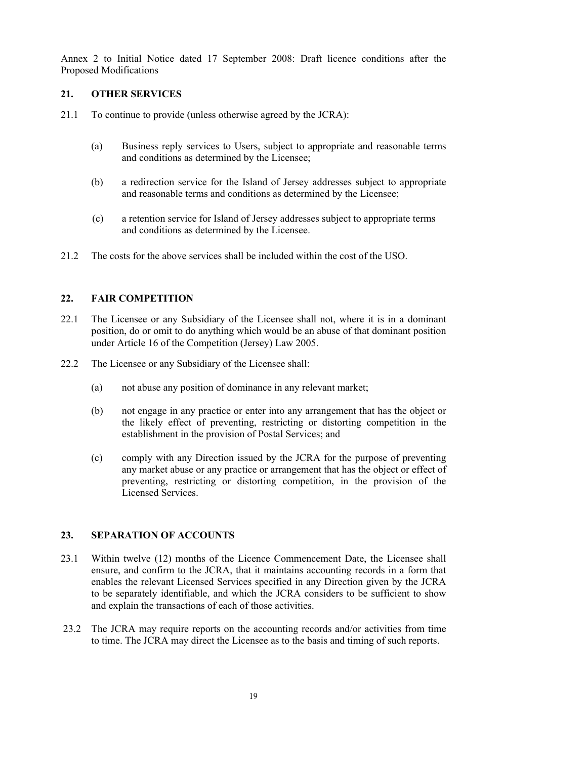## **21. OTHER SERVICES**

- 21.1 To continue to provide (unless otherwise agreed by the JCRA):
	- (a) Business reply services to Users, subject to appropriate and reasonable terms and conditions as determined by the Licensee;
	- (b) a redirection service for the Island of Jersey addresses subject to appropriate and reasonable terms and conditions as determined by the Licensee;
	- (c) a retention service for Island of Jersey addresses subject to appropriate terms and conditions as determined by the Licensee.
- 21.2 The costs for the above services shall be included within the cost of the USO.

# **22. FAIR COMPETITION**

- 22.1 The Licensee or any Subsidiary of the Licensee shall not, where it is in a dominant position, do or omit to do anything which would be an abuse of that dominant position under Article 16 of the Competition (Jersey) Law 2005.
- 22.2 The Licensee or any Subsidiary of the Licensee shall:
	- (a) not abuse any position of dominance in any relevant market;
	- (b) not engage in any practice or enter into any arrangement that has the object or the likely effect of preventing, restricting or distorting competition in the establishment in the provision of Postal Services; and
	- (c) comply with any Direction issued by the JCRA for the purpose of preventing any market abuse or any practice or arrangement that has the object or effect of preventing, restricting or distorting competition, in the provision of the Licensed Services.

# **23. SEPARATION OF ACCOUNTS**

- 23.1 Within twelve (12) months of the Licence Commencement Date, the Licensee shall ensure, and confirm to the JCRA, that it maintains accounting records in a form that enables the relevant Licensed Services specified in any Direction given by the JCRA to be separately identifiable, and which the JCRA considers to be sufficient to show and explain the transactions of each of those activities.
- 23.2 The JCRA may require reports on the accounting records and/or activities from time to time. The JCRA may direct the Licensee as to the basis and timing of such reports.